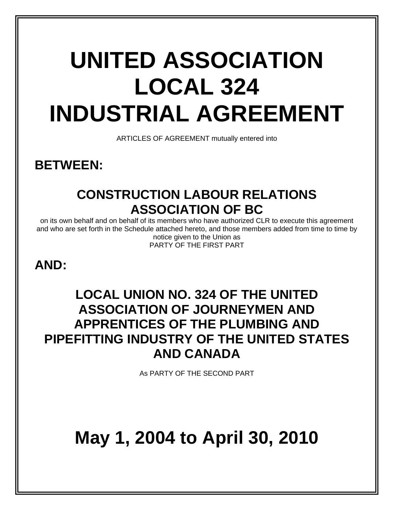# **UNITED ASSOCIATION LOCAL 324 INDUSTRIAL AGREEMENT**

ARTICLES OF AGREEMENT mutually entered into

**BETWEEN:** 

### **CONSTRUCTION LABOUR RELATIONS ASSOCIATION OF BC**

on its own behalf and on behalf of its members who have authorized CLR to execute this agreement and who are set forth in the Schedule attached hereto, and those members added from time to time by notice given to the Union as PARTY OF THE FIRST PART

### **AND:**

### **LOCAL UNION NO. 324 OF THE UNITED ASSOCIATION OF JOURNEYMEN AND APPRENTICES OF THE PLUMBING AND PIPEFITTING INDUSTRY OF THE UNITED STATES AND CANADA**

As PARTY OF THE SECOND PART

## **May 1, 2004 to April 30, 2010**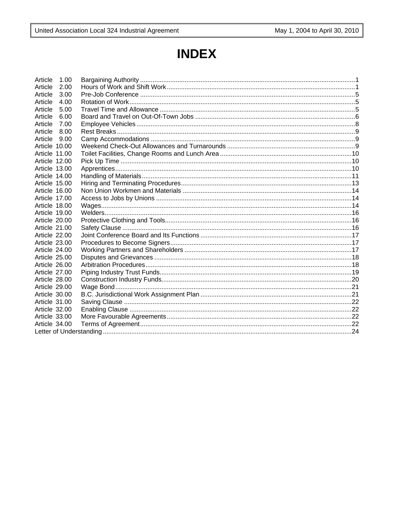### **INDEX**

| Article       | 1.00 |  |  |  |  |
|---------------|------|--|--|--|--|
| Article       | 2.00 |  |  |  |  |
| Article       | 3.00 |  |  |  |  |
| Article       | 4.00 |  |  |  |  |
| Article       | 5.00 |  |  |  |  |
| Article       | 6.00 |  |  |  |  |
| Article       | 7.00 |  |  |  |  |
| Article       | 8.00 |  |  |  |  |
| Article       | 9.00 |  |  |  |  |
| Article 10.00 |      |  |  |  |  |
| Article 11.00 |      |  |  |  |  |
| Article 12.00 |      |  |  |  |  |
| Article 13.00 |      |  |  |  |  |
| Article 14.00 |      |  |  |  |  |
| Article 15.00 |      |  |  |  |  |
| Article 16.00 |      |  |  |  |  |
| Article 17.00 |      |  |  |  |  |
| Article 18.00 |      |  |  |  |  |
| Article 19.00 |      |  |  |  |  |
| Article 20.00 |      |  |  |  |  |
| Article 21.00 |      |  |  |  |  |
| Article 22.00 |      |  |  |  |  |
| Article 23.00 |      |  |  |  |  |
| Article 24.00 |      |  |  |  |  |
| Article 25.00 |      |  |  |  |  |
| Article 26.00 |      |  |  |  |  |
| Article 27.00 |      |  |  |  |  |
| Article 28.00 |      |  |  |  |  |
| Article 29.00 |      |  |  |  |  |
| Article 30.00 |      |  |  |  |  |
| Article 31.00 |      |  |  |  |  |
| Article 32.00 |      |  |  |  |  |
| Article 33.00 |      |  |  |  |  |
| Article 34.00 |      |  |  |  |  |
|               |      |  |  |  |  |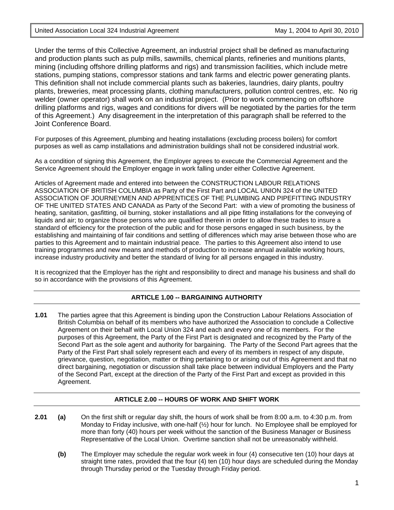Under the terms of this Collective Agreement, an industrial project shall be defined as manufacturing and production plants such as pulp mills, sawmills, chemical plants, refineries and munitions plants, mining (including offshore drilling platforms and rigs) and transmission facilities, which include metre stations, pumping stations, compressor stations and tank farms and electric power generating plants. This definition shall not include commercial plants such as bakeries, laundries, dairy plants, poultry plants, breweries, meat processing plants, clothing manufacturers, pollution control centres, etc. No rig welder (owner operator) shall work on an industrial project. (Prior to work commencing on offshore drilling platforms and rigs, wages and conditions for divers will be negotiated by the parties for the term of this Agreement.) Any disagreement in the interpretation of this paragraph shall be referred to the Joint Conference Board.

For purposes of this Agreement, plumbing and heating installations (excluding process boilers) for comfort purposes as well as camp installations and administration buildings shall not be considered industrial work.

As a condition of signing this Agreement, the Employer agrees to execute the Commercial Agreement and the Service Agreement should the Employer engage in work falling under either Collective Agreement.

Articles of Agreement made and entered into between the CONSTRUCTION LABOUR RELATIONS ASSOCIATION OF BRITISH COLUMBIA as Party of the First Part and LOCAL UNION 324 of the UNITED ASSOCIATION OF JOURNEYMEN AND APPRENTICES OF THE PLUMBING AND PIPEFITTING INDUSTRY OF THE UNITED STATES AND CANADA as Party of the Second Part: with a view of promoting the business of heating, sanitation, gasfitting, oil burning, stoker installations and all pipe fitting installations for the conveying of liquids and air; to organize those persons who are qualified therein in order to allow these trades to insure a standard of efficiency for the protection of the public and for those persons engaged in such business, by the establishing and maintaining of fair conditions and settling of differences which may arise between those who are parties to this Agreement and to maintain industrial peace. The parties to this Agreement also intend to use training programmes and new means and methods of production to increase annual available working hours, increase industry productivity and better the standard of living for all persons engaged in this industry.

It is recognized that the Employer has the right and responsibility to direct and manage his business and shall do so in accordance with the provisions of this Agreement.

#### **ARTICLE 1.00 -- BARGAINING AUTHORITY**

**1.01** The parties agree that this Agreement is binding upon the Construction Labour Relations Association of British Columbia on behalf of its members who have authorized the Association to conclude a Collective Agreement on their behalf with Local Union 324 and each and every one of its members. For the purposes of this Agreement, the Party of the First Part is designated and recognized by the Party of the Second Part as the sole agent and authority for bargaining. The Party of the Second Part agrees that the Party of the First Part shall solely represent each and every of its members in respect of any dispute, grievance, question, negotiation, matter or thing pertaining to or arising out of this Agreement and that no direct bargaining, negotiation or discussion shall take place between individual Employers and the Party of the Second Part, except at the direction of the Party of the First Part and except as provided in this Agreement.

#### **ARTICLE 2.00 -- HOURS OF WORK AND SHIFT WORK**

- **2.01 (a)** On the first shift or regular day shift, the hours of work shall be from 8:00 a.m. to 4:30 p.m. from Monday to Friday inclusive, with one-half (½) hour for lunch. No Employee shall be employed for more than forty (40) hours per week without the sanction of the Business Manager or Business Representative of the Local Union. Overtime sanction shall not be unreasonably withheld.
	- **(b)** The Employer may schedule the regular work week in four (4) consecutive ten (10) hour days at straight time rates, provided that the four (4) ten (10) hour days are scheduled during the Monday through Thursday period or the Tuesday through Friday period.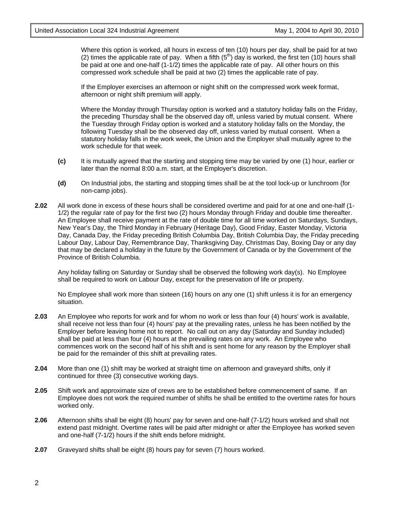Where this option is worked, all hours in excess of ten (10) hours per day, shall be paid for at two (2) times the applicable rate of pay. When a fifth  $(5<sup>th</sup>)$  day is worked, the first ten (10) hours shall be paid at one and one-half (1-1/2) times the applicable rate of pay. All other hours on this compressed work schedule shall be paid at two (2) times the applicable rate of pay.

If the Employer exercises an afternoon or night shift on the compressed work week format, afternoon or night shift premium will apply.

Where the Monday through Thursday option is worked and a statutory holiday falls on the Friday, the preceding Thursday shall be the observed day off, unless varied by mutual consent. Where the Tuesday through Friday option is worked and a statutory holiday falls on the Monday, the following Tuesday shall be the observed day off, unless varied by mutual consent. When a statutory holiday falls in the work week, the Union and the Employer shall mutually agree to the work schedule for that week.

- **(c)** It is mutually agreed that the starting and stopping time may be varied by one (1) hour, earlier or later than the normal 8:00 a.m. start, at the Employer's discretion.
- **(d)** On Industrial jobs, the starting and stopping times shall be at the tool lock-up or lunchroom (for non-camp jobs).
- **2.02** All work done in excess of these hours shall be considered overtime and paid for at one and one-half (1- 1/2) the regular rate of pay for the first two (2) hours Monday through Friday and double time thereafter. An Employee shall receive payment at the rate of double time for all time worked on Saturdays, Sundays, New Year's Day, the Third Monday in February (Heritage Day), Good Friday, Easter Monday, Victoria Day, Canada Day, the Friday preceding British Columbia Day, British Columbia Day, the Friday preceding Labour Day, Labour Day, Remembrance Day, Thanksgiving Day, Christmas Day, Boxing Day or any day that may be declared a holiday in the future by the Government of Canada or by the Government of the Province of British Columbia.

Any holiday falling on Saturday or Sunday shall be observed the following work day(s). No Employee shall be required to work on Labour Day, except for the preservation of life or property.

No Employee shall work more than sixteen (16) hours on any one (1) shift unless it is for an emergency situation.

- **2.03** An Employee who reports for work and for whom no work or less than four (4) hours' work is available, shall receive not less than four (4) hours' pay at the prevailing rates, unless he has been notified by the Employer before leaving home not to report. No call out on any day (Saturday and Sunday included) shall be paid at less than four (4) hours at the prevailing rates on any work. An Employee who commences work on the second half of his shift and is sent home for any reason by the Employer shall be paid for the remainder of this shift at prevailing rates.
- **2.04** More than one (1) shift may be worked at straight time on afternoon and graveyard shifts, only if continued for three (3) consecutive working days.
- **2.05** Shift work and approximate size of crews are to be established before commencement of same. If an Employee does not work the required number of shifts he shall be entitled to the overtime rates for hours worked only.
- **2.06** Afternoon shifts shall be eight (8) hours' pay for seven and one-half (7-1/2) hours worked and shall not extend past midnight. Overtime rates will be paid after midnight or after the Employee has worked seven and one-half (7-1/2) hours if the shift ends before midnight.
- **2.07** Graveyard shifts shall be eight (8) hours pay for seven (7) hours worked.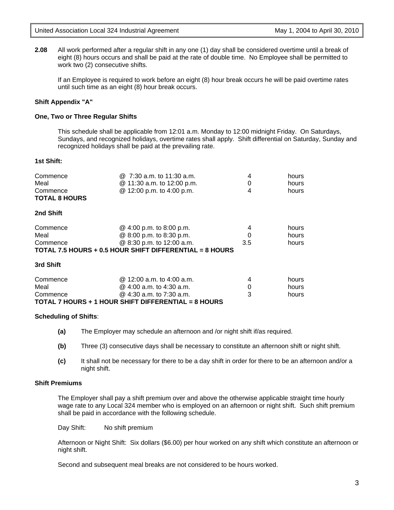**2.08** All work performed after a regular shift in any one (1) day shall be considered overtime until a break of eight (8) hours occurs and shall be paid at the rate of double time. No Employee shall be permitted to work two (2) consecutive shifts.

If an Employee is required to work before an eight (8) hour break occurs he will be paid overtime rates until such time as an eight (8) hour break occurs.

#### **Shift Appendix "A"**

#### **One, Two or Three Regular Shifts**

This schedule shall be applicable from 12:01 a.m. Monday to 12:00 midnight Friday. On Saturdays, Sundays, and recognized holidays, overtime rates shall apply. Shift differential on Saturday, Sunday and recognized holidays shall be paid at the prevailing rate.

#### **1st Shift:**

| Commence<br>Meal<br>Commence | @ 7:30 a.m. to 11:30 a.m.<br>@ 11:30 a.m. to 12:00 p.m.<br>@ 12:00 p.m. to 4:00 p.m. | 4<br>0<br>4 | hours<br>hours<br>hours |
|------------------------------|--------------------------------------------------------------------------------------|-------------|-------------------------|
| <b>TOTAL 8 HOURS</b>         |                                                                                      |             |                         |
| 2nd Shift                    |                                                                                      |             |                         |
| Commence                     | @ 4:00 p.m. to 8:00 p.m.                                                             | 4           | hours                   |
| Meal                         | @ 8:00 p.m. to 8:30 p.m.                                                             |             | hours                   |
| Commence                     | @ 8:30 p.m. to 12:00 a.m.                                                            | 3.5         | hours                   |
|                              | TOTAL 7.5 HOURS + 0.5 HOUR SHIFT DIFFERENTIAL = 8 HOURS                              |             |                         |
| 3rd Shift                    |                                                                                      |             |                         |
| Commence                     | @ 12:00 a.m. to 4:00 a.m.                                                            | 4           | hours                   |
| Meal                         | @ 4:00 a.m. to 4:30 a.m.                                                             | 0           | hours                   |
| Commence                     | $@$ 4:30 a.m. to 7:30 a.m.                                                           | 3           | hours                   |
|                              | TOTAL 7 HOURS + 1 HOUR SHIFT DIFFERENTIAL = 8 HOURS                                  |             |                         |

#### **Scheduling of Shifts**:

- **(a)** The Employer may schedule an afternoon and /or night shift if/as required.
- **(b)** Three (3) consecutive days shall be necessary to constitute an afternoon shift or night shift.
- **(c)** It shall not be necessary for there to be a day shift in order for there to be an afternoon and/or a night shift.

#### **Shift Premiums**

The Employer shall pay a shift premium over and above the otherwise applicable straight time hourly wage rate to any Local 324 member who is employed on an afternoon or night shift. Such shift premium shall be paid in accordance with the following schedule.

Day Shift: No shift premium

Afternoon or Night Shift: Six dollars (\$6.00) per hour worked on any shift which constitute an afternoon or night shift.

Second and subsequent meal breaks are not considered to be hours worked.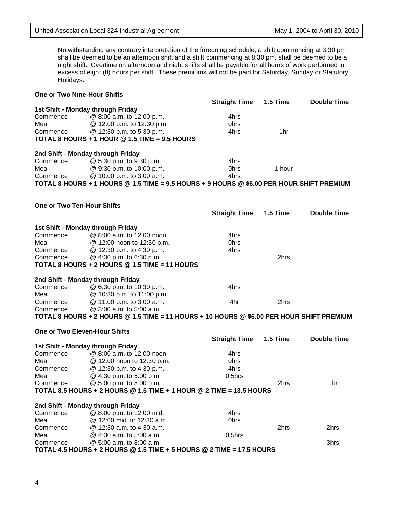**2nd Shift - Monday through Friday** 

Commence  $\qquad \qquad @ 8:00 \text{ p.m. to } 12:00 \text{ mid.} \qquad \qquad 4 \text{ hrs}$ Meal @ 12:00 mid. to 12:30 a.m. 0hrs

Meal  $@ 4:30 a.m. to 5:00 a.m. 0.5hrs$ <br>Commence  $@ 5:00 a.m. to 8:00 a.m.$ 

**TOTAL 4.5 HOURS + 2 HOURS @ 1.5 TIME + 5 HOURS @ 2 TIME = 17.5 HOURS** 

Commence @ 12:30 a.m. to 4:30 a.m. 2hrs 2hrs

 $@5:00$  a.m. to 8:00 a.m.  $@5:00$  a.m.  $@5:00$  a.m.  $@5:00$  a.m.  $@5:00$  a.m.  $@5:00$  a.m.

| Holidays.                          | nght onnit. Overande on alternoon and inght onnito onal be payable for all hours of work performed in<br>excess of eight (8) hours per shift. These premiums will not be paid for Saturday, Sunday or Statutory |                      |          |                    |
|------------------------------------|-----------------------------------------------------------------------------------------------------------------------------------------------------------------------------------------------------------------|----------------------|----------|--------------------|
| <b>One or Two Nine-Hour Shifts</b> |                                                                                                                                                                                                                 |                      |          |                    |
|                                    |                                                                                                                                                                                                                 | <b>Straight Time</b> | 1.5 Time | <b>Double Time</b> |
|                                    | 1st Shift - Monday through Friday                                                                                                                                                                               |                      |          |                    |
| Commence                           | @ 8:00 a.m. to 12:00 p.m.                                                                                                                                                                                       | 4hrs                 |          |                    |
| Meal                               | @ 12:00 p.m. to 12:30 p.m.                                                                                                                                                                                      | 0hrs                 |          |                    |
| Commence                           | @ 12:30 p.m. to 5:30 p.m.                                                                                                                                                                                       | 4hrs                 | 1hr      |                    |
|                                    | TOTAL 8 HOURS + 1 HOUR $@$ 1.5 TIME = 9.5 HOURS                                                                                                                                                                 |                      |          |                    |
|                                    | 2nd Shift - Monday through Friday                                                                                                                                                                               |                      |          |                    |
| Commence                           | @ 5:30 p.m. to 9:30 p.m.                                                                                                                                                                                        | 4hrs                 |          |                    |
| Meal                               | @ 9:30 p.m. to 10:00 p.m.                                                                                                                                                                                       | 0hrs                 | 1 hour   |                    |
| Commence                           | @ 10:00 p.m. to 3:00 a.m.                                                                                                                                                                                       | 4hrs                 |          |                    |
|                                    | TOTAL 8 HOURS + 1 HOURS @ 1.5 TIME = 9.5 HOURS + 9 HOURS @ \$6.00 PER HOUR SHIFT PREMIUM                                                                                                                        |                      |          |                    |
|                                    |                                                                                                                                                                                                                 |                      |          |                    |
| <b>One or Two Ten-Hour Shifts</b>  |                                                                                                                                                                                                                 |                      |          |                    |
|                                    |                                                                                                                                                                                                                 | <b>Straight Time</b> | 1.5 Time | <b>Double Time</b> |
|                                    | 1st Shift - Monday through Friday                                                                                                                                                                               |                      |          |                    |
| Commence                           | @ 8:00 a.m. to 12:00 noon                                                                                                                                                                                       | 4hrs                 |          |                    |
| Meal                               | @ 12:00 noon to 12:30 p.m.                                                                                                                                                                                      | <b>Ohrs</b>          |          |                    |
| Commence                           | @ 12:30 p.m. to 4:30 p.m.                                                                                                                                                                                       | 4hrs                 |          |                    |
| Commence                           | @ 4:30 p.m. to 6:30 p.m.                                                                                                                                                                                        |                      | 2hrs     |                    |
|                                    | TOTAL 8 HOURS + 2 HOURS @ 1.5 TIME = 11 HOURS                                                                                                                                                                   |                      |          |                    |
|                                    | 2nd Shift - Monday through Friday                                                                                                                                                                               |                      |          |                    |
| Commence                           | @ 6:30 p.m. to 10:30 p.m.                                                                                                                                                                                       | 4hrs                 |          |                    |
| Meal                               | @ 10:30 p.m. to 11:00 p.m.                                                                                                                                                                                      |                      |          |                    |
| Commence                           | @ 11:00 p.m. to 3:00 a.m.                                                                                                                                                                                       | 4hr                  | 2hrs     |                    |
| Commence                           | @ 3:00 a.m. to 5:00 a.m.                                                                                                                                                                                        |                      |          |                    |
|                                    | TOTAL 8 HOURS + 2 HOURS @ 1.5 TIME = 11 HOURS + 10 HOURS @ \$6.00 PER HOUR SHIFT PREMIUM                                                                                                                        |                      |          |                    |
|                                    | One or Two Eleven-Hour Shifts                                                                                                                                                                                   |                      |          |                    |
|                                    |                                                                                                                                                                                                                 | <b>Straight Time</b> | 1.5 Time | <b>Double Time</b> |
|                                    | 1st Shift - Monday through Friday                                                                                                                                                                               |                      |          |                    |
| Commence                           | @ 8:00 a.m. to 12:00 noon                                                                                                                                                                                       | 4hrs                 |          |                    |
| Meal                               | @ 12:00 noon to 12:30 p.m.                                                                                                                                                                                      | 0hrs                 |          |                    |
| Commence                           | @ 12:30 p.m. to 4:30 p.m.                                                                                                                                                                                       | 4hrs                 |          |                    |
| Meal                               | @ 4:30 p.m. to 5:00 p.m.                                                                                                                                                                                        | 0.5hrs               |          |                    |
| Commence                           | @ 5:00 p.m. to 8:00 p.m.                                                                                                                                                                                        |                      | 2hrs     | 1hr                |
|                                    | TOTAL 8.5 HOURS + 2 HOURS @ 1.5 TIME + 1 HOUR @ 2 TIME = 13.5 HOURS                                                                                                                                             |                      |          |                    |

| United Association Local 324 Industrial Agreement | May 1, 2004 to April 30, 2010 |  |
|---------------------------------------------------|-------------------------------|--|
|                                                   |                               |  |

Notwithstanding any contrary interpretation of the foregoing schedule, a shift commencing at 3:30 pm shall be deemed to be an afternoon shift and a shift commencing at 8:30 pm. shall be deemed to be a night shift. Overtime on afternoon and night shifts shall be payable for all hours of work performed in or Statutory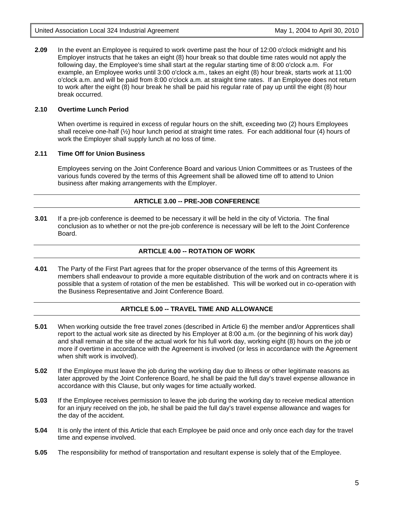**2.09** In the event an Employee is required to work overtime past the hour of 12:00 o'clock midnight and his Employer instructs that he takes an eight (8) hour break so that double time rates would not apply the following day, the Employee's time shall start at the regular starting time of 8:00 o'clock a.m. For example, an Employee works until 3:00 o'clock a.m., takes an eight (8) hour break, starts work at 11:00 o'clock a.m. and will be paid from 8:00 o'clock a.m. at straight time rates. If an Employee does not return to work after the eight (8) hour break he shall be paid his regular rate of pay up until the eight (8) hour break occurred.

#### **2.10 Overtime Lunch Period**

When overtime is required in excess of regular hours on the shift, exceeding two (2) hours Employees shall receive one-half (½) hour lunch period at straight time rates. For each additional four (4) hours of work the Employer shall supply lunch at no loss of time.

#### **2.11 Time Off for Union Business**

Employees serving on the Joint Conference Board and various Union Committees or as Trustees of the various funds covered by the terms of this Agreement shall be allowed time off to attend to Union business after making arrangements with the Employer.

#### **ARTICLE 3.00 -- PRE-JOB CONFERENCE**

**3.01** If a pre-job conference is deemed to be necessary it will be held in the city of Victoria. The final conclusion as to whether or not the pre-job conference is necessary will be left to the Joint Conference Board.

#### **ARTICLE 4.00 -- ROTATION OF WORK**

**4.01** The Party of the First Part agrees that for the proper observance of the terms of this Agreement its members shall endeavour to provide a more equitable distribution of the work and on contracts where it is possible that a system of rotation of the men be established. This will be worked out in co-operation with the Business Representative and Joint Conference Board.

#### **ARTICLE 5.00 -- TRAVEL TIME AND ALLOWANCE**

- **5.01** When working outside the free travel zones (described in Article 6) the member and/or Apprentices shall report to the actual work site as directed by his Employer at 8:00 a.m. (or the beginning of his work day) and shall remain at the site of the actual work for his full work day, working eight (8) hours on the job or more if overtime in accordance with the Agreement is involved (or less in accordance with the Agreement when shift work is involved).
- **5.02** If the Employee must leave the job during the working day due to illness or other legitimate reasons as later approved by the Joint Conference Board, he shall be paid the full day's travel expense allowance in accordance with this Clause, but only wages for time actually worked.
- **5.03** If the Employee receives permission to leave the job during the working day to receive medical attention for an injury received on the job, he shall be paid the full day's travel expense allowance and wages for the day of the accident.
- **5.04** It is only the intent of this Article that each Employee be paid once and only once each day for the travel time and expense involved.
- **5.05** The responsibility for method of transportation and resultant expense is solely that of the Employee.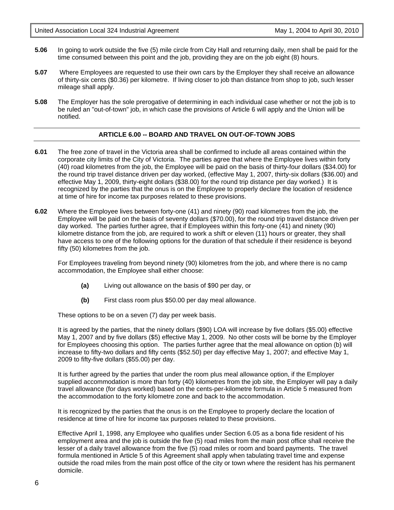- **5.06** In going to work outside the five (5) mile circle from City Hall and returning daily, men shall be paid for the time consumed between this point and the job, providing they are on the job eight (8) hours.
- **5.07** Where Employees are requested to use their own cars by the Employer they shall receive an allowance of thirty-six cents (\$0.36) per kilometre. If living closer to job than distance from shop to job, such lesser mileage shall apply.
- **5.08** The Employer has the sole prerogative of determining in each individual case whether or not the job is to be ruled an "out-of-town" job, in which case the provisions of Article 6 will apply and the Union will be notified.

#### **ARTICLE 6.00 -- BOARD AND TRAVEL ON OUT-OF-TOWN JOBS**

- **6.01** The free zone of travel in the Victoria area shall be confirmed to include all areas contained within the corporate city limits of the City of Victoria. The parties agree that where the Employee lives within forty (40) road kilometres from the job, the Employee will be paid on the basis of thirty-four dollars (\$34.00) for the round trip travel distance driven per day worked, (effective May 1, 2007, thirty-six dollars (\$36.00) and effective May 1, 2009, thirty-eight dollars (\$38.00) for the round trip distance per day worked.) It is recognized by the parties that the onus is on the Employee to properly declare the location of residence at time of hire for income tax purposes related to these provisions.
- **6.02** Where the Employee lives between forty-one (41) and ninety (90) road kilometres from the job, the Employee will be paid on the basis of seventy dollars (\$70.00), for the round trip travel distance driven per day worked. The parties further agree, that if Employees within this forty-one (41) and ninety (90) kilometre distance from the job, are required to work a shift or eleven (11) hours or greater, they shall have access to one of the following options for the duration of that schedule if their residence is beyond fifty (50) kilometres from the job.

For Employees traveling from beyond ninety (90) kilometres from the job, and where there is no camp accommodation, the Employee shall either choose:

- **(a)** Living out allowance on the basis of \$90 per day, or
- **(b)** First class room plus \$50.00 per day meal allowance.

These options to be on a seven (7) day per week basis.

It is agreed by the parties, that the ninety dollars (\$90) LOA will increase by five dollars (\$5.00) effective May 1, 2007 and by five dollars (\$5) effective May 1, 2009. No other costs will be borne by the Employer for Employees choosing this option. The parties further agree that the meal allowance on option (b) will increase to fifty-two dollars and fifty cents (\$52.50) per day effective May 1, 2007; and effective May 1, 2009 to fifty-five dollars (\$55.00) per day.

It is further agreed by the parties that under the room plus meal allowance option, if the Employer supplied accommodation is more than forty (40) kilometres from the job site, the Employer will pay a daily travel allowance (for days worked) based on the cents-per-kilometre formula in Article 5 measured from the accommodation to the forty kilometre zone and back to the accommodation.

It is recognized by the parties that the onus is on the Employee to properly declare the location of residence at time of hire for income tax purposes related to these provisions.

Effective April 1, 1998, any Employee who qualifies under Section 6.05 as a bona fide resident of his employment area and the job is outside the five (5) road miles from the main post office shall receive the lesser of a daily travel allowance from the five (5) road miles or room and board payments. The travel formula mentioned in Article 5 of this Agreement shall apply when tabulating travel time and expense outside the road miles from the main post office of the city or town where the resident has his permanent domicile.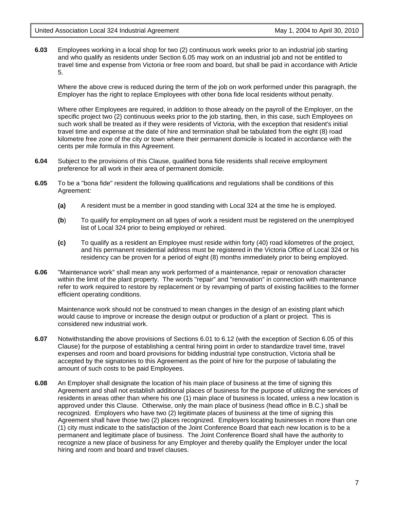**6.03** Employees working in a local shop for two (2) continuous work weeks prior to an industrial job starting and who qualify as residents under Section 6.05 may work on an industrial job and not be entitled to travel time and expense from Victoria or free room and board, but shall be paid in accordance with Article 5.

Where the above crew is reduced during the term of the job on work performed under this paragraph, the Employer has the right to replace Employees with other bona fide local residents without penalty.

Where other Employees are required, in addition to those already on the payroll of the Employer, on the specific project two (2) continuous weeks prior to the job starting, then, in this case, such Employees on such work shall be treated as if they were residents of Victoria, with the exception that resident's initial travel time and expense at the date of hire and termination shall be tabulated from the eight (8) road kilometre free zone of the city or town where their permanent domicile is located in accordance with the cents per mile formula in this Agreement.

- **6.04** Subject to the provisions of this Clause, qualified bona fide residents shall receive employment preference for all work in their area of permanent domicile.
- **6.05** To be a "bona fide" resident the following qualifications and regulations shall be conditions of this Agreement:
	- **(a)** A resident must be a member in good standing with Local 324 at the time he is employed.
	- **(b**) To qualify for employment on all types of work a resident must be registered on the unemployed list of Local 324 prior to being employed or rehired.
	- **(c)** To qualify as a resident an Employee must reside within forty (40) road kilometres of the project, and his permanent residential address must be registered in the Victoria Office of Local 324 or his residency can be proven for a period of eight (8) months immediately prior to being employed.
- **6.06** "Maintenance work" shall mean any work performed of a maintenance, repair or renovation character within the limit of the plant property. The words "repair" and "renovation" in connection with maintenance refer to work required to restore by replacement or by revamping of parts of existing facilities to the former efficient operating conditions.

Maintenance work should not be construed to mean changes in the design of an existing plant which would cause to improve or increase the design output or production of a plant or project. This is considered new industrial work.

- **6.07** Notwithstanding the above provisions of Sections 6.01 to 6.12 (with the exception of Section 6.05 of this Clause) for the purpose of establishing a central hiring point in order to standardize travel time, travel expenses and room and board provisions for bidding industrial type construction, Victoria shall be accepted by the signatories to this Agreement as the point of hire for the purpose of tabulating the amount of such costs to be paid Employees.
- **6.08** An Employer shall designate the location of his main place of business at the time of signing this Agreement and shall not establish additional places of business for the purpose of utilizing the services of residents in areas other than where his one (1) main place of business is located, unless a new location is approved under this Clause. Otherwise, only the main place of business (head office in B.C.) shall be recognized. Employers who have two (2) legitimate places of business at the time of signing this Agreement shall have those two (2) places recognized. Employers locating businesses in more than one (1) city must indicate to the satisfaction of the Joint Conference Board that each new location is to be a permanent and legitimate place of business. The Joint Conference Board shall have the authority to recognize a new place of business for any Employer and thereby qualify the Employer under the local hiring and room and board and travel clauses.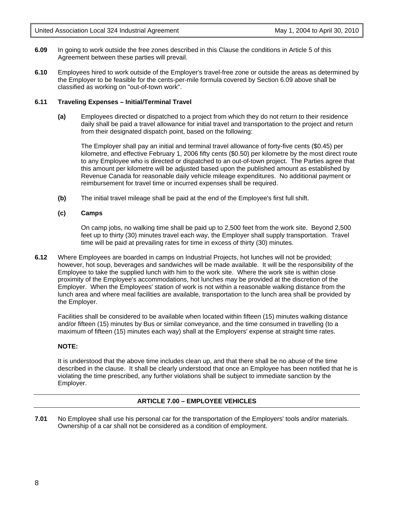- **6.09** In going to work outside the free zones described in this Clause the conditions in Article 5 of this Agreement between these parties will prevail.
- **6.10** Employees hired to work outside of the Employer's travel-free zone or outside the areas as determined by the Employer to be feasible for the cents-per-mile formula covered by Section 6.09 above shall be classified as working on "out-of-town work".

#### **6.11 Traveling Expenses – Initial/Terminal Travel**

**(a)** Employees directed or dispatched to a project from which they do not return to their residence daily shall be paid a travel allowance for initial travel and transportation to the project and return from their designated dispatch point, based on the following:

 The Employer shall pay an initial and terminal travel allowance of forty-five cents (\$0.45) per kilometre, and effective February 1, 2006 fifty cents (\$0.50) per kilometre by the most direct route to any Employee who is directed or dispatched to an out-of-town project. The Parties agree that this amount per kilometre will be adjusted based upon the published amount as established by Revenue Canada for reasonable daily vehicle mileage expenditures. No additional payment or reimbursement for travel time or incurred expenses shall be required.

**(b)** The initial travel mileage shall be paid at the end of the Employee's first full shift.

#### **(c) Camps**

On camp jobs, no walking time shall be paid up to 2,500 feet from the work site. Beyond 2,500 feet up to thirty (30) minutes travel each way, the Employer shall supply transportation. Travel time will be paid at prevailing rates for time in excess of thirty (30) minutes.

**6.12** Where Employees are boarded in camps on Industrial Projects, hot lunches will not be provided; however, hot soup, beverages and sandwiches will be made available. It will be the responsibility of the Employee to take the supplied lunch with him to the work site. Where the work site is within close proximity of the Employee's accommodations, hot lunches may be provided at the discretion of the Employer. When the Employees' station of work is not within a reasonable walking distance from the lunch area and where meal facilities are available, transportation to the lunch area shall be provided by the Employer.

Facilities shall be considered to be available when located within fifteen (15) minutes walking distance and/or fifteen (15) minutes by Bus or similar conveyance, and the time consumed in travelling (to a maximum of fifteen (15) minutes each way) shall at the Employers' expense at straight time rates.

#### **NOTE:**

It is understood that the above time includes clean up, and that there shall be no abuse of the time described in the clause. It shall be clearly understood that once an Employee has been notified that he is violating the time prescribed, any further violations shall be subject to immediate sanction by the Employer.

#### **ARTICLE 7.00 – EMPLOYEE VEHICLES**

**7.01** No Employee shall use his personal car for the transportation of the Employers' tools and/or materials. Ownership of a car shall not be considered as a condition of employment.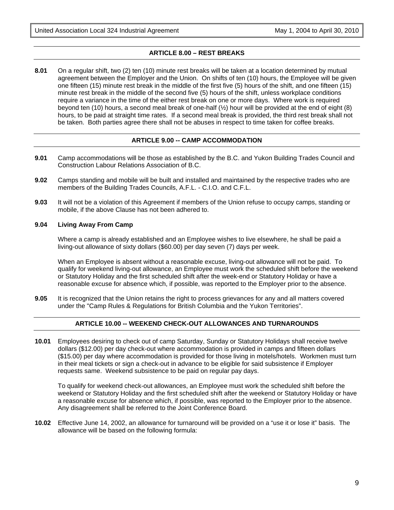#### **ARTICLE 8.00 – REST BREAKS**

**8.01** On a regular shift, two (2) ten (10) minute rest breaks will be taken at a location determined by mutual agreement between the Employer and the Union. On shifts of ten (10) hours, the Employee will be given one fifteen (15) minute rest break in the middle of the first five (5) hours of the shift, and one fifteen (15) minute rest break in the middle of the second five (5) hours of the shift, unless workplace conditions require a variance in the time of the either rest break on one or more days. Where work is required beyond ten (10) hours, a second meal break of one-half (½) hour will be provided at the end of eight (8) hours, to be paid at straight time rates. If a second meal break is provided, the third rest break shall not be taken. Both parties agree there shall not be abuses in respect to time taken for coffee breaks.

#### **ARTICLE 9.00 -- CAMP ACCOMMODATION**

- **9.01** Camp accommodations will be those as established by the B.C. and Yukon Building Trades Council and Construction Labour Relations Association of B.C.
- **9.02** Camps standing and mobile will be built and installed and maintained by the respective trades who are members of the Building Trades Councils, A.F.L. - C.I.O. and C.F.L.
- **9.03** It will not be a violation of this Agreement if members of the Union refuse to occupy camps, standing or mobile, if the above Clause has not been adhered to.

#### **9.04 Living Away From Camp**

Where a camp is already established and an Employee wishes to live elsewhere, he shall be paid a living-out allowance of sixty dollars (\$60.00) per day seven (7) days per week.

When an Employee is absent without a reasonable excuse, living-out allowance will not be paid. To qualify for weekend living-out allowance, an Employee must work the scheduled shift before the weekend or Statutory Holiday and the first scheduled shift after the week-end or Statutory Holiday or have a reasonable excuse for absence which, if possible, was reported to the Employer prior to the absence.

**9.05** It is recognized that the Union retains the right to process grievances for any and all matters covered under the "Camp Rules & Regulations for British Columbia and the Yukon Territories".

#### **ARTICLE 10.00 -- WEEKEND CHECK-OUT ALLOWANCES AND TURNAROUNDS**

**10.01** Employees desiring to check out of camp Saturday, Sunday or Statutory Holidays shall receive twelve dollars (\$12.00) per day check-out where accommodation is provided in camps and fifteen dollars (\$15.00) per day where accommodation is provided for those living in motels/hotels. Workmen must turn in their meal tickets or sign a check-out in advance to be eligible for said subsistence if Employer requests same. Weekend subsistence to be paid on regular pay days.

To qualify for weekend check-out allowances, an Employee must work the scheduled shift before the weekend or Statutory Holiday and the first scheduled shift after the weekend or Statutory Holiday or have a reasonable excuse for absence which, if possible, was reported to the Employer prior to the absence. Any disagreement shall be referred to the Joint Conference Board.

**10.02** Effective June 14, 2002, an allowance for turnaround will be provided on a "use it or lose it" basis. The allowance will be based on the following formula: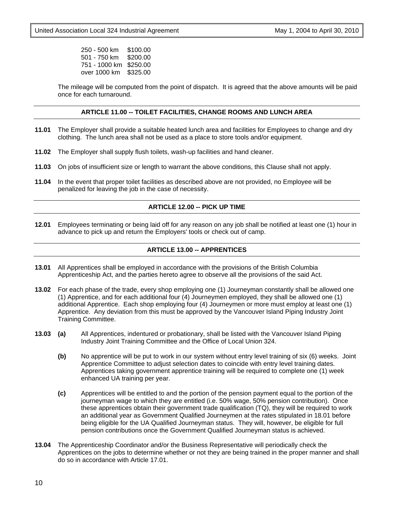250 - 500 km \$100.00 501 - 750 km \$200.00 751 - 1000 km \$250.00 over 1000 km \$325.00

The mileage will be computed from the point of dispatch. It is agreed that the above amounts will be paid once for each turnaround.

#### **ARTICLE 11.00 -- TOILET FACILITIES, CHANGE ROOMS AND LUNCH AREA**

- **11.01** The Employer shall provide a suitable heated lunch area and facilities for Employees to change and dry clothing. The lunch area shall not be used as a place to store tools and/or equipment.
- **11.02** The Employer shall supply flush toilets, wash-up facilities and hand cleaner.
- **11.03** On jobs of insufficient size or length to warrant the above conditions, this Clause shall not apply.
- **11.04** In the event that proper toilet facilities as described above are not provided, no Employee will be penalized for leaving the job in the case of necessity.

#### **ARTICLE 12.00 -- PICK UP TIME**

**12.01** Employees terminating or being laid off for any reason on any job shall be notified at least one (1) hour in advance to pick up and return the Employers' tools or check out of camp.

#### **ARTICLE 13.00 -- APPRENTICES**

- **13.01** All Apprentices shall be employed in accordance with the provisions of the British Columbia Apprenticeship Act, and the parties hereto agree to observe all the provisions of the said Act.
- **13.02** For each phase of the trade, every shop employing one (1) Journeyman constantly shall be allowed one (1) Apprentice, and for each additional four (4) Journeymen employed, they shall be allowed one (1) additional Apprentice. Each shop employing four (4) Journeymen or more must employ at least one (1) Apprentice. Any deviation from this must be approved by the Vancouver Island Piping Industry Joint Training Committee.
- **13.03 (a)** All Apprentices, indentured or probationary, shall be listed with the Vancouver Island Piping Industry Joint Training Committee and the Office of Local Union 324.
	- **(b)** No apprentice will be put to work in our system without entry level training of six (6) weeks. Joint Apprentice Committee to adjust selection dates to coincide with entry level training dates. Apprentices taking government apprentice training will be required to complete one (1) week enhanced UA training per year.
	- **(c)** Apprentices will be entitled to and the portion of the pension payment equal to the portion of the journeyman wage to which they are entitled (i.e. 50% wage, 50% pension contribution). Once these apprentices obtain their government trade qualification (TQ), they will be required to work an additional year as Government Qualified Journeymen at the rates stipulated in 18.01 before being eligible for the UA Qualified Journeyman status. They will, however, be eligible for full pension contributions once the Government Qualified Journeyman status is achieved.
- **13.04** The Apprenticeship Coordinator and/or the Business Representative will periodically check the Apprentices on the jobs to determine whether or not they are being trained in the proper manner and shall do so in accordance with Article 17.01.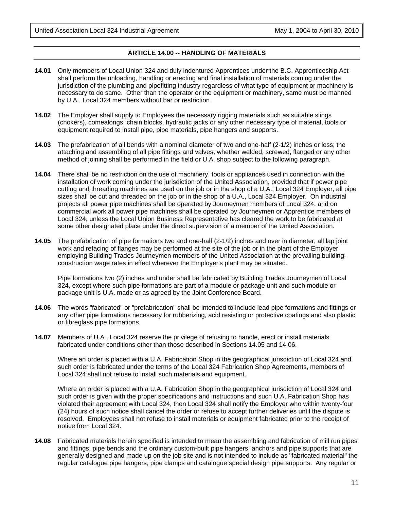#### **ARTICLE 14.00 -- HANDLING OF MATERIALS**

- **14.01** Only members of Local Union 324 and duly indentured Apprentices under the B.C. Apprenticeship Act shall perform the unloading, handling or erecting and final installation of materials coming under the jurisdiction of the plumbing and pipefitting industry regardless of what type of equipment or machinery is necessary to do same. Other than the operator or the equipment or machinery, same must be manned by U.A., Local 324 members without bar or restriction.
- **14.02** The Employer shall supply to Employees the necessary rigging materials such as suitable slings (chokers), comealongs, chain blocks, hydraulic jacks or any other necessary type of material, tools or equipment required to install pipe, pipe materials, pipe hangers and supports.
- **14.03** The prefabrication of all bends with a nominal diameter of two and one-half (2-1/2) inches or less; the attaching and assembling of all pipe fittings and valves, whether welded, screwed, flanged or any other method of joining shall be performed in the field or U.A. shop subject to the following paragraph.
- **14.04** There shall be no restriction on the use of machinery, tools or appliances used in connection with the installation of work coming under the jurisdiction of the United Association, provided that if power pipe cutting and threading machines are used on the job or in the shop of a U.A., Local 324 Employer, all pipe sizes shall be cut and threaded on the job or in the shop of a U.A., Local 324 Employer. On industrial projects all power pipe machines shall be operated by Journeymen members of Local 324, and on commercial work all power pipe machines shall be operated by Journeymen or Apprentice members of Local 324, unless the Local Union Business Representative has cleared the work to be fabricated at some other designated place under the direct supervision of a member of the United Association.
- **14.05** The prefabrication of pipe formations two and one-half (2-1/2) inches and over in diameter, all lap joint work and refacing of flanges may be performed at the site of the job or in the plant of the Employer employing Building Trades Journeymen members of the United Association at the prevailing buildingconstruction wage rates in effect wherever the Employer's plant may be situated.

Pipe formations two (2) inches and under shall be fabricated by Building Trades Journeymen of Local 324, except where such pipe formations are part of a module or package unit and such module or package unit is U.A. made or as agreed by the Joint Conference Board.

- **14.06** The words "fabricated" or "prefabrication" shall be intended to include lead pipe formations and fittings or any other pipe formations necessary for rubberizing, acid resisting or protective coatings and also plastic or fibreglass pipe formations.
- **14.07** Members of U.A., Local 324 reserve the privilege of refusing to handle, erect or install materials fabricated under conditions other than those described in Sections 14.05 and 14.06.

Where an order is placed with a U.A. Fabrication Shop in the geographical jurisdiction of Local 324 and such order is fabricated under the terms of the Local 324 Fabrication Shop Agreements, members of Local 324 shall not refuse to install such materials and equipment.

Where an order is placed with a U.A. Fabrication Shop in the geographical jurisdiction of Local 324 and such order is given with the proper specifications and instructions and such U.A. Fabrication Shop has violated their agreement with Local 324, then Local 324 shall notify the Employer who within twenty-four (24) hours of such notice shall cancel the order or refuse to accept further deliveries until the dispute is resolved. Employees shall not refuse to install materials or equipment fabricated prior to the receipt of notice from Local 324.

**14.08** Fabricated materials herein specified is intended to mean the assembling and fabrication of mill run pipes and fittings, pipe bends and the ordinary custom-built pipe hangers, anchors and pipe supports that are generally designed and made up on the job site and is not intended to include as "fabricated material" the regular catalogue pipe hangers, pipe clamps and catalogue special design pipe supports. Any regular or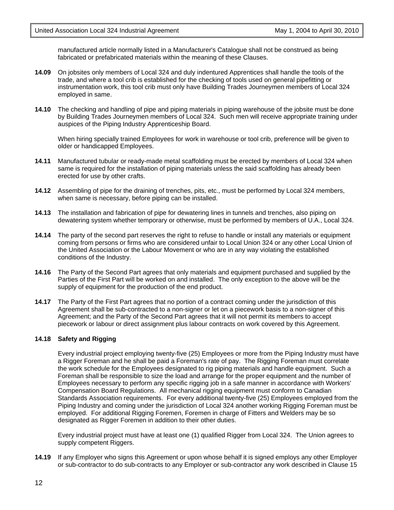manufactured article normally listed in a Manufacturer's Catalogue shall not be construed as being fabricated or prefabricated materials within the meaning of these Clauses.

- **14.09** On jobsites only members of Local 324 and duly indentured Apprentices shall handle the tools of the trade, and where a tool crib is established for the checking of tools used on general pipefitting or instrumentation work, this tool crib must only have Building Trades Journeymen members of Local 324 employed in same.
- **14.10** The checking and handling of pipe and piping materials in piping warehouse of the jobsite must be done by Building Trades Journeymen members of Local 324. Such men will receive appropriate training under auspices of the Piping Industry Apprenticeship Board.

When hiring specially trained Employees for work in warehouse or tool crib, preference will be given to older or handicapped Employees.

- **14.11** Manufactured tubular or ready-made metal scaffolding must be erected by members of Local 324 when same is required for the installation of piping materials unless the said scaffolding has already been erected for use by other crafts.
- **14.12** Assembling of pipe for the draining of trenches, pits, etc., must be performed by Local 324 members, when same is necessary, before piping can be installed.
- **14.13** The installation and fabrication of pipe for dewatering lines in tunnels and trenches, also piping on dewatering system whether temporary or otherwise, must be performed by members of U.A., Local 324.
- **14.14** The party of the second part reserves the right to refuse to handle or install any materials or equipment coming from persons or firms who are considered unfair to Local Union 324 or any other Local Union of the United Association or the Labour Movement or who are in any way violating the established conditions of the Industry.
- **14.16** The Party of the Second Part agrees that only materials and equipment purchased and supplied by the Parties of the First Part will be worked on and installed. The only exception to the above will be the supply of equipment for the production of the end product.
- **14.17** The Party of the First Part agrees that no portion of a contract coming under the jurisdiction of this Agreement shall be sub-contracted to a non-signer or let on a piecework basis to a non-signer of this Agreement; and the Party of the Second Part agrees that it will not permit its members to accept piecework or labour or direct assignment plus labour contracts on work covered by this Agreement.

#### **14.18 Safety and Rigging**

Every industrial project employing twenty-five (25) Employees or more from the Piping Industry must have a Rigger Foreman and he shall be paid a Foreman's rate of pay. The Rigging Foreman must correlate the work schedule for the Employees designated to rig piping materials and handle equipment. Such a Foreman shall be responsible to size the load and arrange for the proper equipment and the number of Employees necessary to perform any specific rigging job in a safe manner in accordance with Workers' Compensation Board Regulations. All mechanical rigging equipment must conform to Canadian Standards Association requirements. For every additional twenty-five (25) Employees employed from the Piping Industry and coming under the jurisdiction of Local 324 another working Rigging Foreman must be employed. For additional Rigging Foremen, Foremen in charge of Fitters and Welders may be so designated as Rigger Foremen in addition to their other duties.

Every industrial project must have at least one (1) qualified Rigger from Local 324. The Union agrees to supply competent Riggers.

**14.19** If any Employer who signs this Agreement or upon whose behalf it is signed employs any other Employer or sub-contractor to do sub-contracts to any Employer or sub-contractor any work described in Clause 15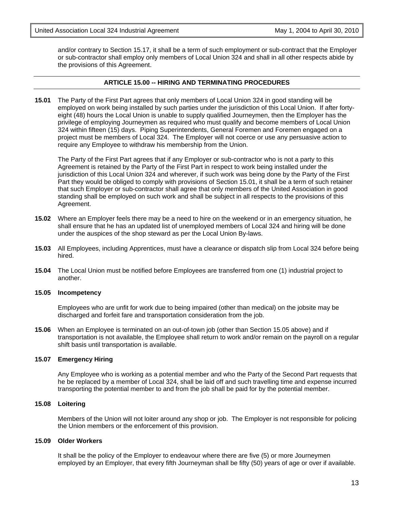and/or contrary to Section 15.17, it shall be a term of such employment or sub-contract that the Employer or sub-contractor shall employ only members of Local Union 324 and shall in all other respects abide by the provisions of this Agreement.

#### **ARTICLE 15.00 -- HIRING AND TERMINATING PROCEDURES**

**15.01** The Party of the First Part agrees that only members of Local Union 324 in good standing will be employed on work being installed by such parties under the jurisdiction of this Local Union. If after fortyeight (48) hours the Local Union is unable to supply qualified Journeymen, then the Employer has the privilege of employing Journeymen as required who must qualify and become members of Local Union 324 within fifteen (15) days. Piping Superintendents, General Foremen and Foremen engaged on a project must be members of Local 324. The Employer will not coerce or use any persuasive action to require any Employee to withdraw his membership from the Union.

The Party of the First Part agrees that if any Employer or sub-contractor who is not a party to this Agreement is retained by the Party of the First Part in respect to work being installed under the jurisdiction of this Local Union 324 and wherever, if such work was being done by the Party of the First Part they would be obliged to comply with provisions of Section 15.01, it shall be a term of such retainer that such Employer or sub-contractor shall agree that only members of the United Association in good standing shall be employed on such work and shall be subject in all respects to the provisions of this Agreement.

- **15.02** Where an Employer feels there may be a need to hire on the weekend or in an emergency situation, he shall ensure that he has an updated list of unemployed members of Local 324 and hiring will be done under the auspices of the shop steward as per the Local Union By-laws.
- **15.03** All Employees, including Apprentices, must have a clearance or dispatch slip from Local 324 before being hired.
- **15.04** The Local Union must be notified before Employees are transferred from one (1) industrial project to another.

#### **15.05 Incompetency**

Employees who are unfit for work due to being impaired (other than medical) on the jobsite may be discharged and forfeit fare and transportation consideration from the job.

**15.06** When an Employee is terminated on an out-of-town job (other than Section 15.05 above) and if transportation is not available, the Employee shall return to work and/or remain on the payroll on a regular shift basis until transportation is available.

#### **15.07 Emergency Hiring**

Any Employee who is working as a potential member and who the Party of the Second Part requests that he be replaced by a member of Local 324, shall be laid off and such travelling time and expense incurred transporting the potential member to and from the job shall be paid for by the potential member.

#### **15.08 Loitering**

Members of the Union will not loiter around any shop or job. The Employer is not responsible for policing the Union members or the enforcement of this provision.

#### **15.09 Older Workers**

It shall be the policy of the Employer to endeavour where there are five (5) or more Journeymen employed by an Employer, that every fifth Journeyman shall be fifty (50) years of age or over if available.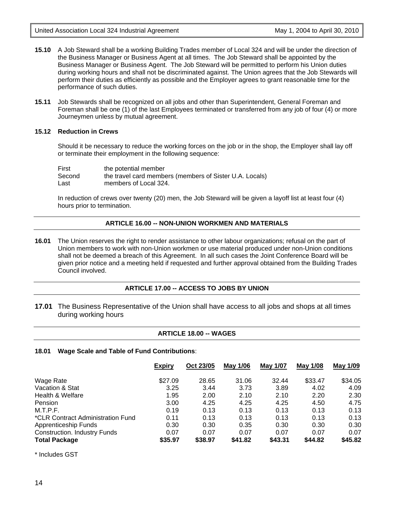- **15.10** A Job Steward shall be a working Building Trades member of Local 324 and will be under the direction of the Business Manager or Business Agent at all times. The Job Steward shall be appointed by the Business Manager or Business Agent. The Job Steward will be permitted to perform his Union duties during working hours and shall not be discriminated against. The Union agrees that the Job Stewards will perform their duties as efficiently as possible and the Employer agrees to grant reasonable time for the performance of such duties.
- **15.11** Job Stewards shall be recognized on all jobs and other than Superintendent, General Foreman and Foreman shall be one (1) of the last Employees terminated or transferred from any job of four (4) or more Journeymen unless by mutual agreement.

#### **15.12 Reduction in Crews**

Should it be necessary to reduce the working forces on the job or in the shop, the Employer shall lay off or terminate their employment in the following sequence:

First the potential member Second the travel card members (members of Sister U.A. Locals) Last members of Local 324.

In reduction of crews over twenty (20) men, the Job Steward will be given a layoff list at least four (4) hours prior to termination.

#### **ARTICLE 16.00 -- NON-UNION WORKMEN AND MATERIALS**

**16.01** The Union reserves the right to render assistance to other labour organizations; refusal on the part of Union members to work with non-Union workmen or use material produced under non-Union conditions shall not be deemed a breach of this Agreement. In all such cases the Joint Conference Board will be given prior notice and a meeting held if requested and further approval obtained from the Building Trades Council involved.

#### **ARTICLE 17.00 -- ACCESS TO JOBS BY UNION**

**17.01** The Business Representative of the Union shall have access to all jobs and shops at all times during working hours

#### **ARTICLE 18.00 -- WAGES**

#### **18.01 Wage Scale and Table of Fund Contributions**:

|                                     | <b>Expiry</b> | Oct 23/05 | May 1/06 | May 1/07 | May 1/08 | <u>May 1/09</u> |
|-------------------------------------|---------------|-----------|----------|----------|----------|-----------------|
| Wage Rate                           | \$27.09       | 28.65     | 31.06    | 32.44    | \$33.47  | \$34.05         |
| Vacation & Stat                     | 3.25          | 3.44      | 3.73     | 3.89     | 4.02     | 4.09            |
| Health & Welfare                    | 1.95          | 2.00      | 2.10     | 2.10     | 2.20     | 2.30            |
| Pension                             | 3.00          | 4.25      | 4.25     | 4.25     | 4.50     | 4.75            |
| M.T.P.F.                            | 0.19          | 0.13      | 0.13     | 0.13     | 0.13     | 0.13            |
| *CLR Contract Administration Fund   | 0.11          | 0.13      | 0.13     | 0.13     | 0.13     | 0.13            |
| Apprenticeship Funds                | 0.30          | 0.30      | 0.35     | 0.30     | 0.30     | 0.30            |
| <b>Construction. Industry Funds</b> | 0.07          | 0.07      | 0.07     | 0.07     | 0.07     | 0.07            |
| <b>Total Package</b>                | \$35.97       | \$38.97   | \$41.82  | \$43.31  | \$44.82  | \$45.82         |

\* Includes GST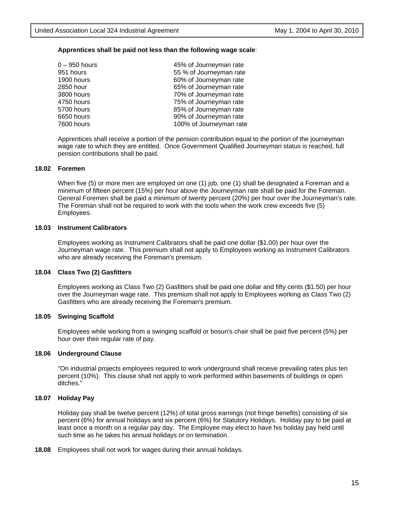#### **Apprentices shall be paid not less than the following wage scale**:

| $0 - 950$ hours | 45% of Journeyman rate  |
|-----------------|-------------------------|
| 951 hours       | 55 % of Journeyman rate |
| 1900 hours      | 60% of Journeyman rate  |
| 2850 hour       | 65% of Journeyman rate  |
| 3800 hours      | 70% of Journeyman rate  |
| 4750 hours      | 75% of Journeyman rate  |
| 5700 hours      | 85% of Journeyman rate  |
| 6650 hours      | 90% of Journeyman rate  |
| 7600 hours      | 100% of Journeyman rate |
|                 |                         |

Apprentices shall receive a portion of the pension contribution equal to the portion of the journeyman wage rate to which they are entitled. Once Government Qualified Journeyman status is reached, full pension contributions shall be paid.

#### **18.02 Foremen**

When five (5) or more men are employed on one (1) job, one (1) shall be designated a Foreman and a minimum of fifteen percent (15%) per hour above the Journeyman rate shall be paid for the Foreman. General Foremen shall be paid a minimum of twenty percent (20%) per hour over the Journeyman's rate. The Foreman shall not be required to work with the tools when the work crew exceeds five (5) Employees.

#### **18.03 Instrument Calibrators**

Employees working as Instrument Calibrators shall be paid one dollar (\$1.00) per hour over the Journeyman wage rate. This premium shall not apply to Employees working as Instrument Calibrators who are already receiving the Foreman's premium.

#### **18.04 Class Two (2) Gasfitters**

Employees working as Class Two (2) Gasfitters shall be paid one dollar and fifty cents (\$1.50) per hour over the Journeyman wage rate. This premium shall not apply to Employees working as Class Two (2) Gasfitters who are already receiving the Foreman's premium.

#### **18.05 Swinging Scaffold**

Employees while working from a swinging scaffold or bosun's chair shall be paid five percent (5%) per hour over their regular rate of pay.

#### **18.06 Underground Clause**

"On industrial projects employees required to work underground shall receive prevailing rates plus ten percent (10%). This clause shall not apply to work performed within basements of buildings or open ditches."

#### **18.07 Holiday Pay**

Holiday pay shall be twelve percent (12%) of total gross earnings (not fringe benefits) consisting of six percent (6%) for annual holidays and six percent (6%) for Statutory Holidays. Holiday pay to be paid at least once a month on a regular pay day. The Employee may elect to have his holiday pay held until such time as he takes his annual holidays or on termination.

**18.08** Employees shall not work for wages during their annual holidays.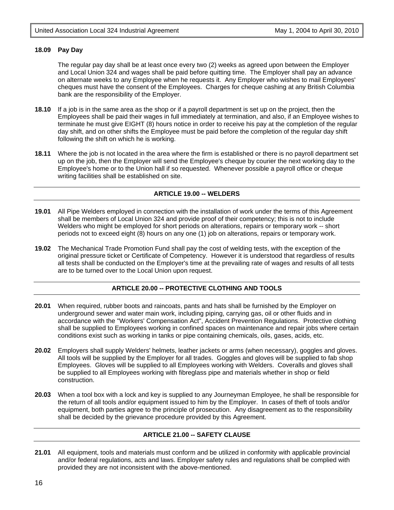#### **18.09 Pay Day**

The regular pay day shall be at least once every two (2) weeks as agreed upon between the Employer and Local Union 324 and wages shall be paid before quitting time. The Employer shall pay an advance on alternate weeks to any Employee when he requests it. Any Employer who wishes to mail Employees' cheques must have the consent of the Employees. Charges for cheque cashing at any British Columbia bank are the responsibility of the Employer.

- **18.10** If a job is in the same area as the shop or if a payroll department is set up on the project, then the Employees shall be paid their wages in full immediately at termination, and also, if an Employee wishes to terminate he must give EIGHT (8) hours notice in order to receive his pay at the completion of the regular day shift, and on other shifts the Employee must be paid before the completion of the regular day shift following the shift on which he is working.
- **18.11** Where the job is not located in the area where the firm is established or there is no payroll department set up on the job, then the Employer will send the Employee's cheque by courier the next working day to the Employee's home or to the Union hall if so requested. Whenever possible a payroll office or cheque writing facilities shall be established on site.

#### **ARTICLE 19.00 -- WELDERS**

- **19.01** All Pipe Welders employed in connection with the installation of work under the terms of this Agreement shall be members of Local Union 324 and provide proof of their competency; this is not to include Welders who might be employed for short periods on alterations, repairs or temporary work -- short periods not to exceed eight (8) hours on any one (1) job on alterations, repairs or temporary work.
- **19.02** The Mechanical Trade Promotion Fund shall pay the cost of welding tests, with the exception of the original pressure ticket or Certificate of Competency. However it is understood that regardless of results all tests shall be conducted on the Employer's time at the prevailing rate of wages and results of all tests are to be turned over to the Local Union upon request.

#### **ARTICLE 20.00 -- PROTECTIVE CLOTHING AND TOOLS**

- **20.01** When required, rubber boots and raincoats, pants and hats shall be furnished by the Employer on underground sewer and water main work, including piping, carrying gas, oil or other fluids and in accordance with the "Workers' Compensation Act", Accident Prevention Regulations. Protective clothing shall be supplied to Employees working in confined spaces on maintenance and repair jobs where certain conditions exist such as working in tanks or pipe containing chemicals, oils, gases, acids, etc.
- **20.02** Employers shall supply Welders' helmets, leather jackets or arms (when necessary), goggles and gloves. All tools will be supplied by the Employer for all trades. Goggles and gloves will be supplied to fab shop Employees. Gloves will be supplied to all Employees working with Welders. Coveralls and gloves shall be supplied to all Employees working with fibreglass pipe and materials whether in shop or field construction.
- **20.03** When a tool box with a lock and key is supplied to any Journeyman Employee, he shall be responsible for the return of all tools and/or equipment issued to him by the Employer. In cases of theft of tools and/or equipment, both parties agree to the principle of prosecution. Any disagreement as to the responsibility shall be decided by the grievance procedure provided by this Agreement.

#### **ARTICLE 21.00 -- SAFETY CLAUSE**

**21.01** All equipment, tools and materials must conform and be utilized in conformity with applicable provincial and/or federal regulations, acts and laws. Employer safety rules and regulations shall be complied with provided they are not inconsistent with the above-mentioned.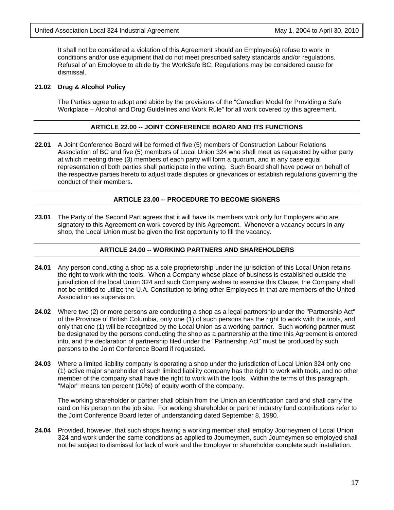It shall not be considered a violation of this Agreement should an Employee(s) refuse to work in conditions and/or use equipment that do not meet prescribed safety standards and/or regulations. Refusal of an Employee to abide by the WorkSafe BC. Regulations may be considered cause for dismissal.

#### **21.02 Drug & Alcohol Policy**

The Parties agree to adopt and abide by the provisions of the "Canadian Model for Providing a Safe Workplace – Alcohol and Drug Guidelines and Work Rule" for all work covered by this agreement.

#### **ARTICLE 22.00 -- JOINT CONFERENCE BOARD AND ITS FUNCTIONS**

**22.01** A Joint Conference Board will be formed of five (5) members of Construction Labour Relations Association of BC and five (5) members of Local Union 324 who shall meet as requested by either party at which meeting three (3) members of each party will form a quorum, and in any case equal representation of both parties shall participate in the voting. Such Board shall have power on behalf of the respective parties hereto to adjust trade disputes or grievances or establish regulations governing the conduct of their members.

#### **ARTICLE 23.00 -- PROCEDURE TO BECOME SIGNERS**

**23.01** The Party of the Second Part agrees that it will have its members work only for Employers who are signatory to this Agreement on work covered by this Agreement. Whenever a vacancy occurs in any shop, the Local Union must be given the first opportunity to fill the vacancy.

#### **ARTICLE 24.00 -- WORKING PARTNERS AND SHAREHOLDERS**

- **24.01** Any person conducting a shop as a sole proprietorship under the jurisdiction of this Local Union retains the right to work with the tools. When a Company whose place of business is established outside the jurisdiction of the local Union 324 and such Company wishes to exercise this Clause, the Company shall not be entitled to utilize the U.A. Constitution to bring other Employees in that are members of the United Association as supervision.
- **24.02** Where two (2) or more persons are conducting a shop as a legal partnership under the "Partnership Act" of the Province of British Columbia, only one (1) of such persons has the right to work with the tools, and only that one (1) will be recognized by the Local Union as a working partner. Such working partner must be designated by the persons conducting the shop as a partnership at the time this Agreement is entered into, and the declaration of partnership filed under the "Partnership Act" must be produced by such persons to the Joint Conference Board if requested.
- **24.03** Where a limited liability company is operating a shop under the jurisdiction of Local Union 324 only one (1) active major shareholder of such limited liability company has the right to work with tools, and no other member of the company shall have the right to work with the tools. Within the terms of this paragraph, "Major" means ten percent (10%) of equity worth of the company.

The working shareholder or partner shall obtain from the Union an identification card and shall carry the card on his person on the job site. For working shareholder or partner industry fund contributions refer to the Joint Conference Board letter of understanding dated September 8, 1980.

**24.04** Provided, however, that such shops having a working member shall employ Journeymen of Local Union 324 and work under the same conditions as applied to Journeymen, such Journeymen so employed shall not be subject to dismissal for lack of work and the Employer or shareholder complete such installation.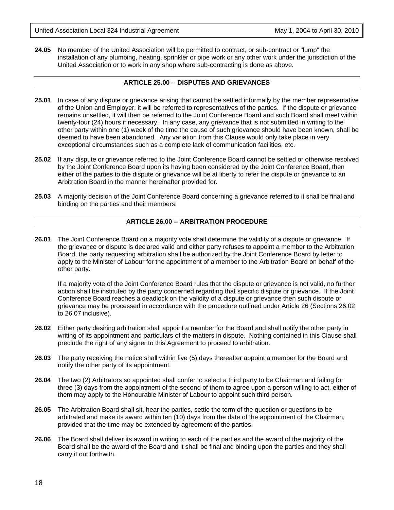24.05 No member of the United Association will be permitted to contract, or sub-contract or "lump" the installation of any plumbing, heating, sprinkler or pipe work or any other work under the jurisdiction of the United Association or to work in any shop where sub-contracting is done as above.

#### **ARTICLE 25.00 -- DISPUTES AND GRIEVANCES**

- **25.01** In case of any dispute or grievance arising that cannot be settled informally by the member representative of the Union and Employer, it will be referred to representatives of the parties. If the dispute or grievance remains unsettled, it will then be referred to the Joint Conference Board and such Board shall meet within twenty-four (24) hours if necessary. In any case, any grievance that is not submitted in writing to the other party within one (1) week of the time the cause of such grievance should have been known, shall be deemed to have been abandoned. Any variation from this Clause would only take place in very exceptional circumstances such as a complete lack of communication facilities, etc.
- **25.02** If any dispute or grievance referred to the Joint Conference Board cannot be settled or otherwise resolved by the Joint Conference Board upon its having been considered by the Joint Conference Board, then either of the parties to the dispute or grievance will be at liberty to refer the dispute or grievance to an Arbitration Board in the manner hereinafter provided for.
- **25.03** A majority decision of the Joint Conference Board concerning a grievance referred to it shall be final and binding on the parties and their members.

#### **ARTICLE 26.00 -- ARBITRATION PROCEDURE**

**26.01** The Joint Conference Board on a majority vote shall determine the validity of a dispute or grievance. If the grievance or dispute is declared valid and either party refuses to appoint a member to the Arbitration Board, the party requesting arbitration shall be authorized by the Joint Conference Board by letter to apply to the Minister of Labour for the appointment of a member to the Arbitration Board on behalf of the other party.

If a majority vote of the Joint Conference Board rules that the dispute or grievance is not valid, no further action shall be instituted by the party concerned regarding that specific dispute or grievance. If the Joint Conference Board reaches a deadlock on the validity of a dispute or grievance then such dispute or grievance may be processed in accordance with the procedure outlined under Article 26 (Sections 26.02 to 26.07 inclusive).

- **26.02** Either party desiring arbitration shall appoint a member for the Board and shall notify the other party in writing of its appointment and particulars of the matters in dispute. Nothing contained in this Clause shall preclude the right of any signer to this Agreement to proceed to arbitration.
- **26.03** The party receiving the notice shall within five (5) days thereafter appoint a member for the Board and notify the other party of its appointment.
- **26.04** The two (2) Arbitrators so appointed shall confer to select a third party to be Chairman and failing for three (3) days from the appointment of the second of them to agree upon a person willing to act, either of them may apply to the Honourable Minister of Labour to appoint such third person.
- **26.05** The Arbitration Board shall sit, hear the parties, settle the term of the question or questions to be arbitrated and make its award within ten (10) days from the date of the appointment of the Chairman, provided that the time may be extended by agreement of the parties.
- **26.06** The Board shall deliver its award in writing to each of the parties and the award of the majority of the Board shall be the award of the Board and it shall be final and binding upon the parties and they shall carry it out forthwith.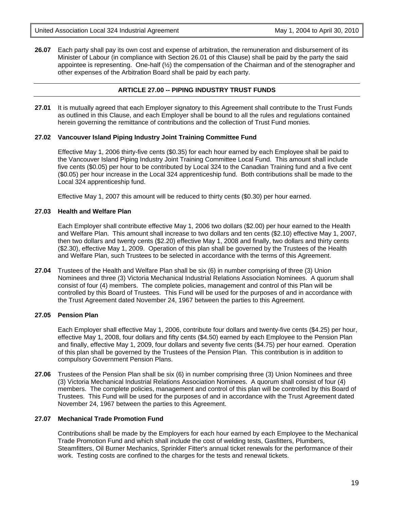**26.07** Each party shall pay its own cost and expense of arbitration, the remuneration and disbursement of its Minister of Labour (in compliance with Section 26.01 of this Clause) shall be paid by the party the said appointee is representing. One-half  $\left(\frac{1}{2}\right)$  the compensation of the Chairman and of the stenographer and other expenses of the Arbitration Board shall be paid by each party.

#### **ARTICLE 27.00 -- PIPING INDUSTRY TRUST FUNDS**

**27.01** It is mutually agreed that each Employer signatory to this Agreement shall contribute to the Trust Funds as outlined in this Clause, and each Employer shall be bound to all the rules and regulations contained herein governing the remittance of contributions and the collection of Trust Fund monies.

#### **27.02 Vancouver Island Piping Industry Joint Training Committee Fund**

Effective May 1, 2006 thirty-five cents (\$0.35) for each hour earned by each Employee shall be paid to the Vancouver Island Piping Industry Joint Training Committee Local Fund. This amount shall include five cents (\$0.05) per hour to be contributed by Local 324 to the Canadian Training fund and a five cent (\$0.05) per hour increase in the Local 324 apprenticeship fund. Both contributions shall be made to the Local 324 apprenticeship fund.

Effective May 1, 2007 this amount will be reduced to thirty cents (\$0.30) per hour earned.

#### **27.03 Health and Welfare Plan**

Each Employer shall contribute effective May 1, 2006 two dollars (\$2.00) per hour earned to the Health and Welfare Plan. This amount shall increase to two dollars and ten cents (\$2.10) effective May 1, 2007, then two dollars and twenty cents (\$2.20) effective May 1, 2008 and finally, two dollars and thirty cents (\$2.30), effective May 1, 2009. Operation of this plan shall be governed by the Trustees of the Health and Welfare Plan, such Trustees to be selected in accordance with the terms of this Agreement.

**27.04** Trustees of the Health and Welfare Plan shall be six (6) in number comprising of three (3) Union Nominees and three (3) Victoria Mechanical Industrial Relations Association Nominees. A quorum shall consist of four (4) members. The complete policies, management and control of this Plan will be controlled by this Board of Trustees. This Fund will be used for the purposes of and in accordance with the Trust Agreement dated November 24, 1967 between the parties to this Agreement.

#### **27.05 Pension Plan**

Each Employer shall effective May 1, 2006, contribute four dollars and twenty-five cents (\$4.25) per hour, effective May 1, 2008, four dollars and fifty cents (\$4.50) earned by each Employee to the Pension Plan and finally, effective May 1, 2009, four dollars and seventy five cents (\$4.75) per hour earned. Operation of this plan shall be governed by the Trustees of the Pension Plan. This contribution is in addition to compulsory Government Pension Plans.

**27.06** Trustees of the Pension Plan shall be six (6) in number comprising three (3) Union Nominees and three (3) Victoria Mechanical Industrial Relations Association Nominees. A quorum shall consist of four (4) members. The complete policies, management and control of this plan will be controlled by this Board of Trustees. This Fund will be used for the purposes of and in accordance with the Trust Agreement dated November 24, 1967 between the parties to this Agreement.

#### **27.07 Mechanical Trade Promotion Fund**

Contributions shall be made by the Employers for each hour earned by each Employee to the Mechanical Trade Promotion Fund and which shall include the cost of welding tests, Gasfitters, Plumbers, Steamfitters, Oil Burner Mechanics, Sprinkler Fitter's annual ticket renewals for the performance of their work. Testing costs are confined to the charges for the tests and renewal tickets.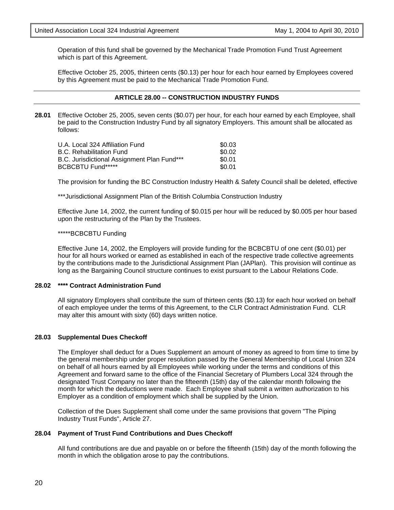Operation of this fund shall be governed by the Mechanical Trade Promotion Fund Trust Agreement which is part of this Agreement.

Effective October 25, 2005, thirteen cents (\$0.13) per hour for each hour earned by Employees covered by this Agreement must be paid to the Mechanical Trade Promotion Fund.

#### **ARTICLE 28.00 -- CONSTRUCTION INDUSTRY FUNDS**

**28.01** Effective October 25, 2005, seven cents (\$0.07) per hour, for each hour earned by each Employee, shall be paid to the Construction Industry Fund by all signatory Employers. This amount shall be allocated as follows:

| U.A. Local 324 Affiliation Fund             | \$0.03 |
|---------------------------------------------|--------|
| <b>B.C. Rehabilitation Fund</b>             | \$0.02 |
| B.C. Jurisdictional Assignment Plan Fund*** | \$0.01 |
| <b>BCBCBTU Fund*****</b>                    | \$0.01 |

The provision for funding the BC Construction Industry Health & Safety Council shall be deleted, effective

\*\*\*Jurisdictional Assignment Plan of the British Columbia Construction Industry

Effective June 14, 2002, the current funding of \$0.015 per hour will be reduced by \$0.005 per hour based upon the restructuring of the Plan by the Trustees.

#### \*\*\*\*\*BCBCBTU Funding

Effective June 14, 2002, the Employers will provide funding for the BCBCBTU of one cent (\$0.01) per hour for all hours worked or earned as established in each of the respective trade collective agreements by the contributions made to the Jurisdictional Assignment Plan (JAPlan). This provision will continue as long as the Bargaining Council structure continues to exist pursuant to the Labour Relations Code.

#### **28.02 \*\*\*\* Contract Administration Fund**

All signatory Employers shall contribute the sum of thirteen cents (\$0.13) for each hour worked on behalf of each employee under the terms of this Agreement, to the CLR Contract Administration Fund. CLR may alter this amount with sixty (60) days written notice.

#### **28.03 Supplemental Dues Checkoff**

The Employer shall deduct for a Dues Supplement an amount of money as agreed to from time to time by the general membership under proper resolution passed by the General Membership of Local Union 324 on behalf of all hours earned by all Employees while working under the terms and conditions of this Agreement and forward same to the office of the Financial Secretary of Plumbers Local 324 through the designated Trust Company no later than the fifteenth (15th) day of the calendar month following the month for which the deductions were made. Each Employee shall submit a written authorization to his Employer as a condition of employment which shall be supplied by the Union.

Collection of the Dues Supplement shall come under the same provisions that govern "The Piping Industry Trust Funds", Article 27.

#### **28.04 Payment of Trust Fund Contributions and Dues Checkoff**

All fund contributions are due and payable on or before the fifteenth (15th) day of the month following the month in which the obligation arose to pay the contributions.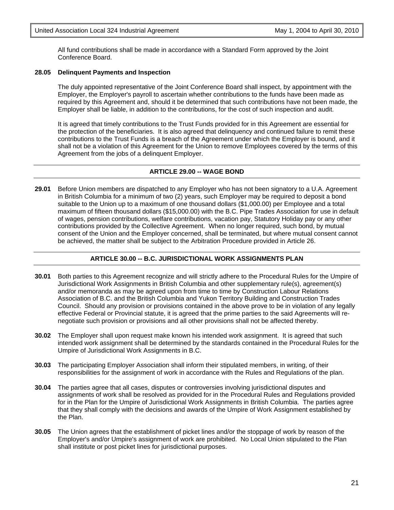All fund contributions shall be made in accordance with a Standard Form approved by the Joint Conference Board.

#### **28.05 Delinquent Payments and Inspection**

The duly appointed representative of the Joint Conference Board shall inspect, by appointment with the Employer, the Employer's payroll to ascertain whether contributions to the funds have been made as required by this Agreement and, should it be determined that such contributions have not been made, the Employer shall be liable, in addition to the contributions, for the cost of such inspection and audit.

It is agreed that timely contributions to the Trust Funds provided for in this Agreement are essential for the protection of the beneficiaries. It is also agreed that delinquency and continued failure to remit these contributions to the Trust Funds is a breach of the Agreement under which the Employer is bound, and it shall not be a violation of this Agreement for the Union to remove Employees covered by the terms of this Agreement from the jobs of a delinquent Employer.

#### **ARTICLE 29.00 -- WAGE BOND**

**29.01** Before Union members are dispatched to any Employer who has not been signatory to a U.A. Agreement in British Columbia for a minimum of two (2) years, such Employer may be required to deposit a bond suitable to the Union up to a maximum of one thousand dollars (\$1,000.00) per Employee and a total maximum of fifteen thousand dollars (\$15,000.00) with the B.C. Pipe Trades Association for use in default of wages, pension contributions, welfare contributions, vacation pay, Statutory Holiday pay or any other contributions provided by the Collective Agreement. When no longer required, such bond, by mutual consent of the Union and the Employer concerned, shall be terminated, but where mutual consent cannot be achieved, the matter shall be subject to the Arbitration Procedure provided in Article 26.

#### **ARTICLE 30.00 -- B.C. JURISDICTIONAL WORK ASSIGNMENTS PLAN**

- **30.01** Both parties to this Agreement recognize and will strictly adhere to the Procedural Rules for the Umpire of Jurisdictional Work Assignments in British Columbia and other supplementary rule(s), agreement(s) and/or memoranda as may be agreed upon from time to time by Construction Labour Relations Association of B.C. and the British Columbia and Yukon Territory Building and Construction Trades Council. Should any provision or provisions contained in the above prove to be in violation of any legally effective Federal or Provincial statute, it is agreed that the prime parties to the said Agreements will renegotiate such provision or provisions and all other provisions shall not be affected thereby.
- **30.02** The Employer shall upon request make known his intended work assignment. It is agreed that such intended work assignment shall be determined by the standards contained in the Procedural Rules for the Umpire of Jurisdictional Work Assignments in B.C.
- **30.03** The participating Employer Association shall inform their stipulated members, in writing, of their responsibilities for the assignment of work in accordance with the Rules and Regulations of the plan.
- **30.04** The parties agree that all cases, disputes or controversies involving jurisdictional disputes and assignments of work shall be resolved as provided for in the Procedural Rules and Regulations provided for in the Plan for the Umpire of Jurisdictional Work Assignments in British Columbia. The parties agree that they shall comply with the decisions and awards of the Umpire of Work Assignment established by the Plan.
- **30.05** The Union agrees that the establishment of picket lines and/or the stoppage of work by reason of the Employer's and/or Umpire's assignment of work are prohibited. No Local Union stipulated to the Plan shall institute or post picket lines for jurisdictional purposes.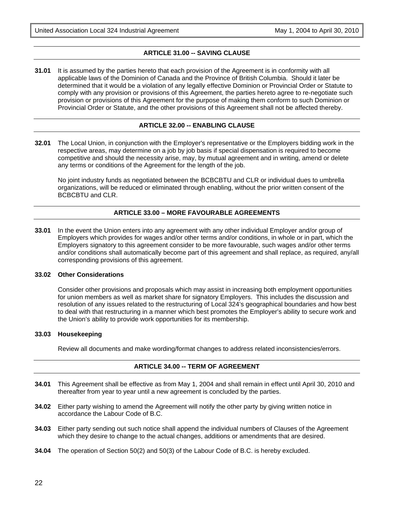#### **ARTICLE 31.00 -- SAVING CLAUSE**

**31.01** It is assumed by the parties hereto that each provision of the Agreement is in conformity with all applicable laws of the Dominion of Canada and the Province of British Columbia. Should it later be determined that it would be a violation of any legally effective Dominion or Provincial Order or Statute to comply with any provision or provisions of this Agreement, the parties hereto agree to re-negotiate such provision or provisions of this Agreement for the purpose of making them conform to such Dominion or Provincial Order or Statute, and the other provisions of this Agreement shall not be affected thereby.

#### **ARTICLE 32.00 -- ENABLING CLAUSE**

**32.01** The Local Union, in conjunction with the Employer's representative or the Employers bidding work in the respective areas, may determine on a job by job basis if special dispensation is required to become competitive and should the necessity arise, may, by mutual agreement and in writing, amend or delete any terms or conditions of the Agreement for the length of the job.

No joint industry funds as negotiated between the BCBCBTU and CLR or individual dues to umbrella organizations, will be reduced or eliminated through enabling, without the prior written consent of the BCBCBTU and CLR.

#### **ARTICLE 33.00 – MORE FAVOURABLE AGREEMENTS**

**33.01** In the event the Union enters into any agreement with any other individual Employer and/or group of Employers which provides for wages and/or other terms and/or conditions, in whole or in part, which the Employers signatory to this agreement consider to be more favourable, such wages and/or other terms and/or conditions shall automatically become part of this agreement and shall replace, as required, any/all corresponding provisions of this agreement.

#### **33.02 Other Considerations**

Consider other provisions and proposals which may assist in increasing both employment opportunities for union members as well as market share for signatory Employers. This includes the discussion and resolution of any issues related to the restructuring of Local 324's geographical boundaries and how best to deal with that restructuring in a manner which best promotes the Employer's ability to secure work and the Union's ability to provide work opportunities for its membership.

#### **33.03 Housekeeping**

Review all documents and make wording/format changes to address related inconsistencies/errors.

#### **ARTICLE 34.00 -- TERM OF AGREEMENT**

- **34.01** This Agreement shall be effective as from May 1, 2004 and shall remain in effect until April 30, 2010 and thereafter from year to year until a new agreement is concluded by the parties.
- **34.02** Either party wishing to amend the Agreement will notify the other party by giving written notice in accordance the Labour Code of B.C.
- **34.03** Either party sending out such notice shall append the individual numbers of Clauses of the Agreement which they desire to change to the actual changes, additions or amendments that are desired.
- **34.04** The operation of Section 50(2) and 50(3) of the Labour Code of B.C. is hereby excluded.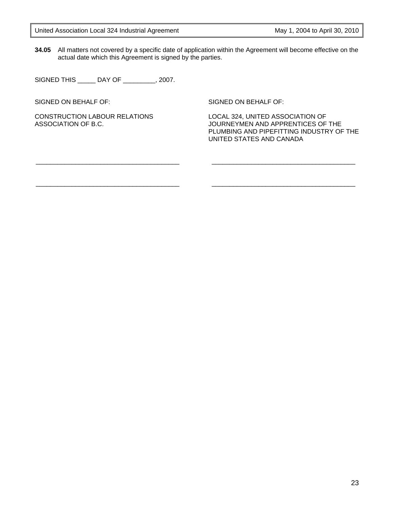**34.05** All matters not covered by a specific date of application within the Agreement will become effective on the actual date which this Agreement is signed by the parties.

SIGNED THIS \_\_\_\_\_ DAY OF \_\_\_\_\_\_\_\_\_, 2007.

\_\_\_\_\_\_\_\_\_\_\_\_\_\_\_\_\_\_\_\_\_\_\_\_\_\_\_\_\_\_\_\_\_\_\_\_\_\_\_\_

\_\_\_\_\_\_\_\_\_\_\_\_\_\_\_\_\_\_\_\_\_\_\_\_\_\_\_\_\_\_\_\_\_\_\_\_\_\_\_\_

SIGNED ON BEHALF OF:

CONSTRUCTION LABOUR RELATIONS ASSOCIATION OF B.C.

SIGNED ON BEHALF OF:

LOCAL 324, UNITED ASSOCIATION OF JOURNEYMEN AND APPRENTICES OF THE PLUMBING AND PIPEFITTING INDUSTRY OF THE UNITED STATES AND CANADA

\_\_\_\_\_\_\_\_\_\_\_\_\_\_\_\_\_\_\_\_\_\_\_\_\_\_\_\_\_\_\_\_\_\_\_\_\_\_\_\_

\_\_\_\_\_\_\_\_\_\_\_\_\_\_\_\_\_\_\_\_\_\_\_\_\_\_\_\_\_\_\_\_\_\_\_\_\_\_\_\_